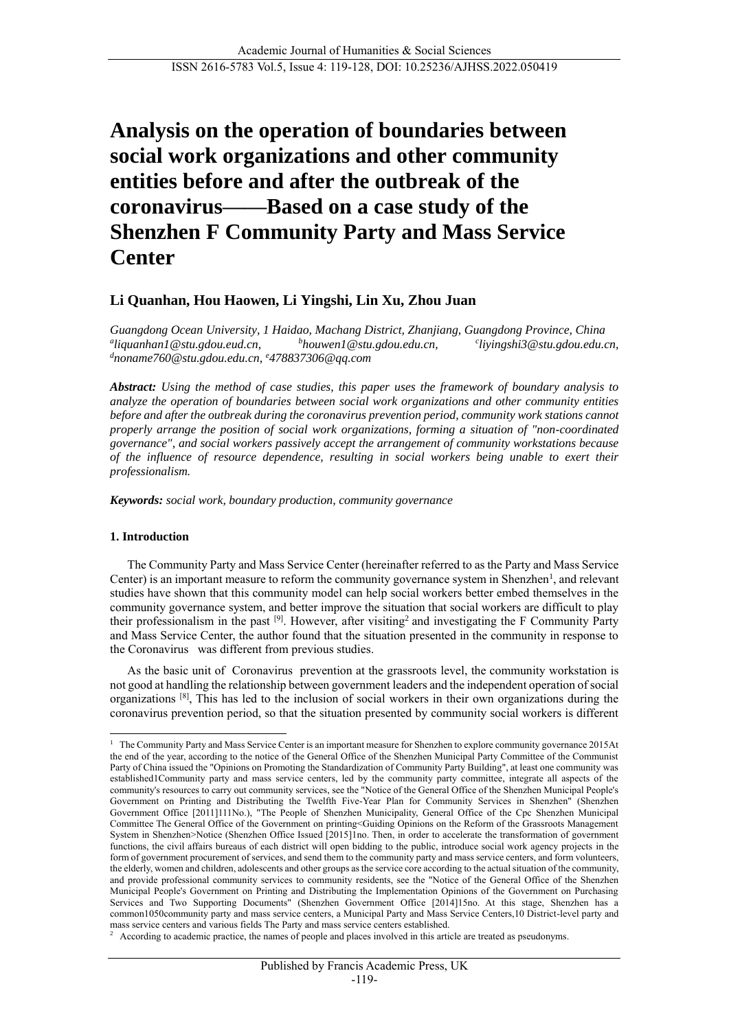# **Analysis on the operation of boundaries between social work organizations and other community entities before and after the outbreak of the coronavirus——Based on a case study of the Shenzhen F Community Party and Mass Service Center**

# **Li Quanhan, Hou Haowen, Li Yingshi, Lin Xu, Zhou Juan**

*Guangdong Ocean University, 1 Haidao, Machang District, Zhanjiang, Guangdong Province, China* <sup>a</sup>liquanhan1@stu.gdou.eud.cn, *liquanhan1@stu.gdou.eud.cn, <sup>b</sup>houwen1@stu.gdou.edu.cn, <sup>c</sup> liyingshi3@stu.gdou.edu.cn, <sup>d</sup>noname760@stu.gdou.edu.cn, <sup>e</sup>478837306@qq.com*

*Abstract: Using the method of case studies, this paper uses the framework of boundary analysis to analyze the operation of boundaries between social work organizations and other community entities before and after the outbreak during the coronavirus prevention period, community work stations cannot properly arrange the position of social work organizations, forming a situation of "non-coordinated governance", and social workers passively accept the arrangement of community workstations because of the influence of resource dependence, resulting in social workers being unable to exert their professionalism.* 

*Keywords: social work, boundary production, community governance*

#### **1. Introduction**

 $\overline{a}$ 

The Community Party and Mass Service Center (hereinafter referred to as the Party and Mass Service Center) is an important measure to reform the community governance system in Shenzhen<sup>1</sup>, and relevant studies have shown that this community model can help social workers better embed themselves in the community governance system, and better improve the situation that social workers are difficult to play their professionalism in the past  $[9]$ . However, after visiting<sup>2</sup> and investigating the F Community Party and Mass Service Center, the author found that the situation presented in the community in response to the Coronavirus was different from previous studies.

As the basic unit of Coronavirus prevention at the grassroots level, the community workstation is not good at handling the relationship between government leaders and the independent operation of social organizations [8], This has led to the inclusion of social workers in their own organizations during the coronavirus prevention period, so that the situation presented by community social workers is different

<sup>&</sup>lt;sup>1</sup> The Community Party and Mass Service Center is an important measure for Shenzhen to explore community governance 2015At the end of the year, according to the notice of the General Office of the Shenzhen Municipal Party Committee of the Communist Party of China issued the "Opinions on Promoting the Standardization of Community Party Building", at least one community was established1Community party and mass service centers, led by the community party committee, integrate all aspects of the community's resources to carry out community services, see the "Notice of the General Office of the Shenzhen Municipal People's Government on Printing and Distributing the Twelfth Five-Year Plan for Community Services in Shenzhen" (Shenzhen Government Office [2011]111No.), "The People of Shenzhen Municipality, General Office of the Cpc Shenzhen Municipal Committee The General Office of the Government on printing<Guiding Opinions on the Reform of the Grassroots Management System in Shenzhen>Notice (Shenzhen Office Issued [2015]1no. Then, in order to accelerate the transformation of government functions, the civil affairs bureaus of each district will open bidding to the public, introduce social work agency projects in the form of government procurement of services, and send them to the community party and mass service centers, and form volunteers, the elderly, women and children, adolescents and other groups as the service core according to the actual situation of the community, and provide professional community services to community residents, see the "Notice of the General Office of the Shenzhen Municipal People's Government on Printing and Distributing the Implementation Opinions of the Government on Purchasing Services and Two Supporting Documents" (Shenzhen Government Office [2014]15no. At this stage, Shenzhen has a common1050community party and mass service centers, a Municipal Party and Mass Service Centers,10 District-level party and mass service centers and various fields The Party and mass service centers established.<br><sup>2</sup> According to academic proctice, the names of people and places involved in this arti

According to academic practice, the names of people and places involved in this article are treated as pseudonyms.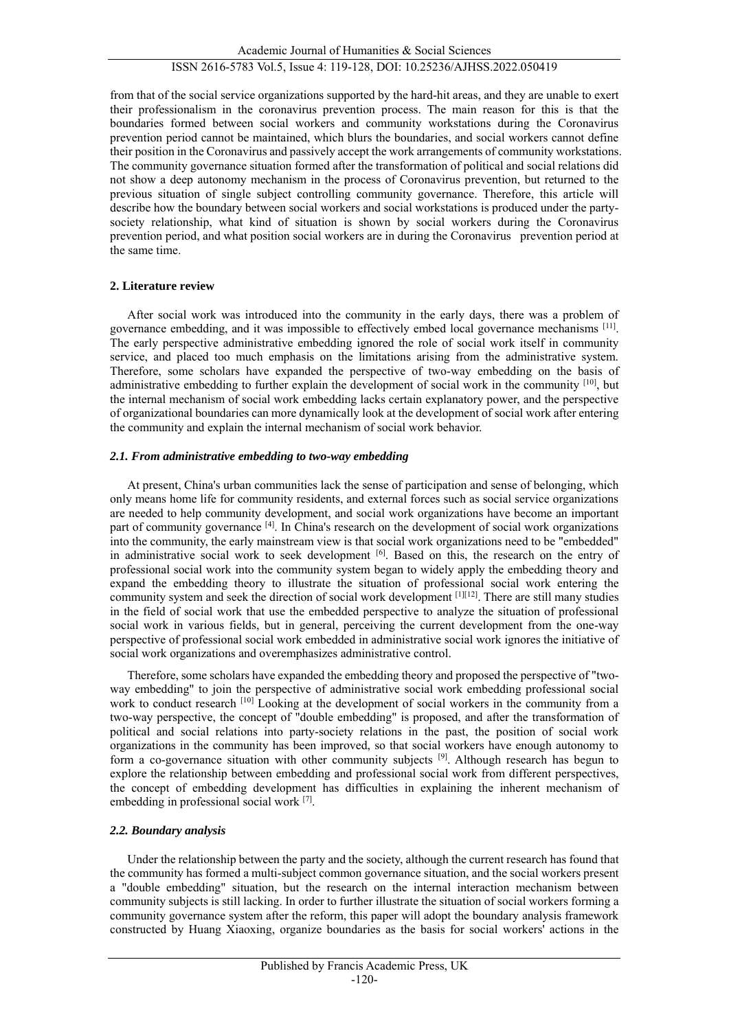Academic Journal of Humanities & Social Sciences

# ISSN 2616-5783 Vol.5, Issue 4: 119-128, DOI: 10.25236/AJHSS.2022.050419

from that of the social service organizations supported by the hard-hit areas, and they are unable to exert their professionalism in the coronavirus prevention process. The main reason for this is that the boundaries formed between social workers and community workstations during the Coronavirus prevention period cannot be maintained, which blurs the boundaries, and social workers cannot define their position in the Coronavirus and passively accept the work arrangements of community workstations. The community governance situation formed after the transformation of political and social relations did not show a deep autonomy mechanism in the process of Coronavirus prevention, but returned to the previous situation of single subject controlling community governance. Therefore, this article will describe how the boundary between social workers and social workstations is produced under the partysociety relationship, what kind of situation is shown by social workers during the Coronavirus prevention period, and what position social workers are in during the Coronavirus prevention period at the same time.

#### **2. Literature review**

After social work was introduced into the community in the early days, there was a problem of governance embedding, and it was impossible to effectively embed local governance mechanisms [11]. The early perspective administrative embedding ignored the role of social work itself in community service, and placed too much emphasis on the limitations arising from the administrative system. Therefore, some scholars have expanded the perspective of two-way embedding on the basis of administrative embedding to further explain the development of social work in the community [10], but the internal mechanism of social work embedding lacks certain explanatory power, and the perspective of organizational boundaries can more dynamically look at the development of social work after entering the community and explain the internal mechanism of social work behavior.

#### *2.1. From administrative embedding to two-way embedding*

At present, China's urban communities lack the sense of participation and sense of belonging, which only means home life for community residents, and external forces such as social service organizations are needed to help community development, and social work organizations have become an important part of community governance [4]. In China's research on the development of social work organizations into the community, the early mainstream view is that social work organizations need to be "embedded" in administrative social work to seek development [6]. Based on this, the research on the entry of professional social work into the community system began to widely apply the embedding theory and expand the embedding theory to illustrate the situation of professional social work entering the community system and seek the direction of social work development [1][12]. There are still many studies in the field of social work that use the embedded perspective to analyze the situation of professional social work in various fields, but in general, perceiving the current development from the one-way perspective of professional social work embedded in administrative social work ignores the initiative of social work organizations and overemphasizes administrative control.

Therefore, some scholars have expanded the embedding theory and proposed the perspective of "twoway embedding" to join the perspective of administrative social work embedding professional social work to conduct research <sup>[10]</sup> Looking at the development of social workers in the community from a two-way perspective, the concept of "double embedding" is proposed, and after the transformation of political and social relations into party-society relations in the past, the position of social work organizations in the community has been improved, so that social workers have enough autonomy to form a co-governance situation with other community subjects [9]. Although research has begun to explore the relationship between embedding and professional social work from different perspectives, the concept of embedding development has difficulties in explaining the inherent mechanism of embedding in professional social work [7].

#### *2.2. Boundary analysis*

Under the relationship between the party and the society, although the current research has found that the community has formed a multi-subject common governance situation, and the social workers present a "double embedding" situation, but the research on the internal interaction mechanism between community subjects is still lacking. In order to further illustrate the situation of social workers forming a community governance system after the reform, this paper will adopt the boundary analysis framework constructed by Huang Xiaoxing, organize boundaries as the basis for social workers' actions in the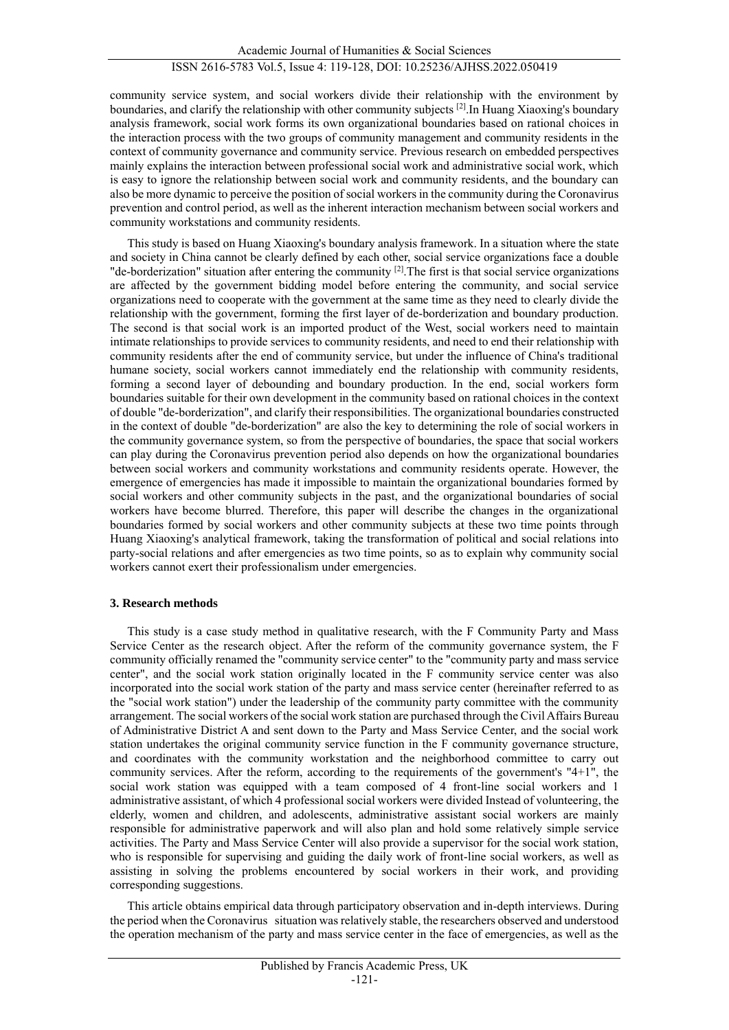community service system, and social workers divide their relationship with the environment by boundaries, and clarify the relationship with other community subjects [2].In Huang Xiaoxing's boundary analysis framework, social work forms its own organizational boundaries based on rational choices in the interaction process with the two groups of community management and community residents in the context of community governance and community service. Previous research on embedded perspectives mainly explains the interaction between professional social work and administrative social work, which is easy to ignore the relationship between social work and community residents, and the boundary can also be more dynamic to perceive the position of social workers in the community during the Coronavirus prevention and control period, as well as the inherent interaction mechanism between social workers and community workstations and community residents.

This study is based on Huang Xiaoxing's boundary analysis framework. In a situation where the state and society in China cannot be clearly defined by each other, social service organizations face a double "de-borderization" situation after entering the community  $[2]$ . The first is that social service organizations are affected by the government bidding model before entering the community, and social service organizations need to cooperate with the government at the same time as they need to clearly divide the relationship with the government, forming the first layer of de-borderization and boundary production. The second is that social work is an imported product of the West, social workers need to maintain intimate relationships to provide services to community residents, and need to end their relationship with community residents after the end of community service, but under the influence of China's traditional humane society, social workers cannot immediately end the relationship with community residents, forming a second layer of debounding and boundary production. In the end, social workers form boundaries suitable for their own development in the community based on rational choices in the context of double "de-borderization", and clarify their responsibilities. The organizational boundaries constructed in the context of double "de-borderization" are also the key to determining the role of social workers in the community governance system, so from the perspective of boundaries, the space that social workers can play during the Coronavirus prevention period also depends on how the organizational boundaries between social workers and community workstations and community residents operate. However, the emergence of emergencies has made it impossible to maintain the organizational boundaries formed by social workers and other community subjects in the past, and the organizational boundaries of social workers have become blurred. Therefore, this paper will describe the changes in the organizational boundaries formed by social workers and other community subjects at these two time points through Huang Xiaoxing's analytical framework, taking the transformation of political and social relations into party-social relations and after emergencies as two time points, so as to explain why community social workers cannot exert their professionalism under emergencies.

# **3. Research methods**

This study is a case study method in qualitative research, with the F Community Party and Mass Service Center as the research object. After the reform of the community governance system, the F community officially renamed the "community service center" to the "community party and mass service center", and the social work station originally located in the F community service center was also incorporated into the social work station of the party and mass service center (hereinafter referred to as the "social work station") under the leadership of the community party committee with the community arrangement. The social workers of the social work station are purchased through the Civil Affairs Bureau of Administrative District A and sent down to the Party and Mass Service Center, and the social work station undertakes the original community service function in the F community governance structure, and coordinates with the community workstation and the neighborhood committee to carry out community services. After the reform, according to the requirements of the government's "4+1", the social work station was equipped with a team composed of 4 front-line social workers and 1 administrative assistant, of which 4 professional social workers were divided Instead of volunteering, the elderly, women and children, and adolescents, administrative assistant social workers are mainly responsible for administrative paperwork and will also plan and hold some relatively simple service activities. The Party and Mass Service Center will also provide a supervisor for the social work station, who is responsible for supervising and guiding the daily work of front-line social workers, as well as assisting in solving the problems encountered by social workers in their work, and providing corresponding suggestions.

This article obtains empirical data through participatory observation and in-depth interviews. During the period when the Coronavirus situation was relatively stable, the researchers observed and understood the operation mechanism of the party and mass service center in the face of emergencies, as well as the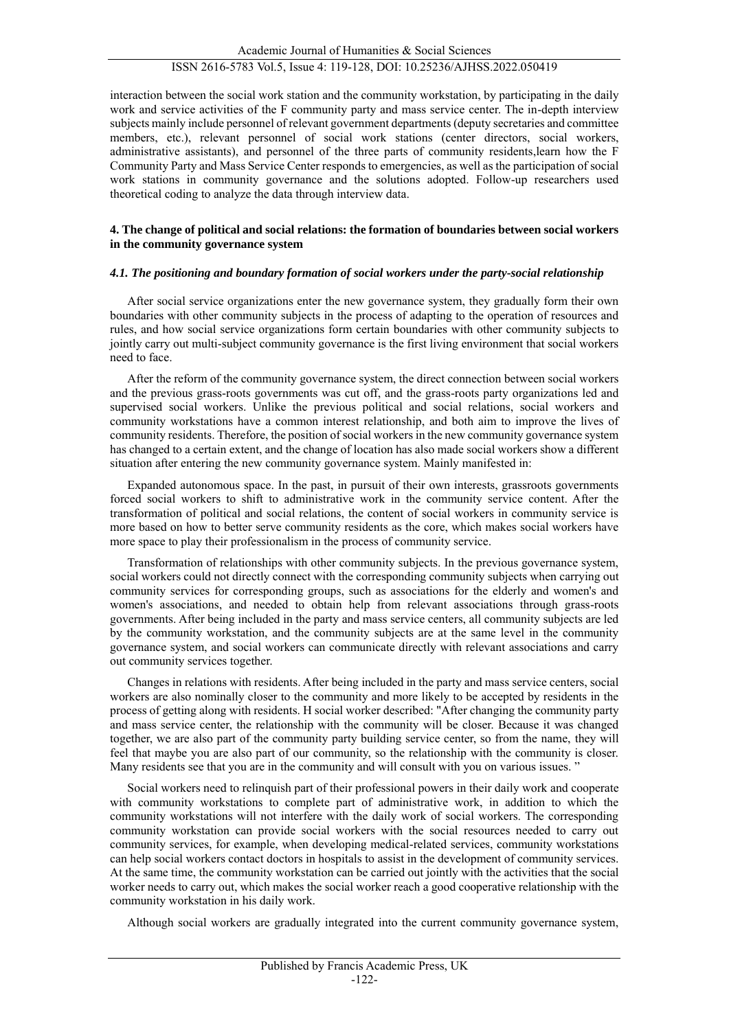interaction between the social work station and the community workstation, by participating in the daily work and service activities of the F community party and mass service center. The in-depth interview subjects mainly include personnel of relevant government departments (deputy secretaries and committee members, etc.), relevant personnel of social work stations (center directors, social workers, administrative assistants), and personnel of the three parts of community residents,learn how the F Community Party and Mass Service Center responds to emergencies, as well as the participation of social work stations in community governance and the solutions adopted. Follow-up researchers used theoretical coding to analyze the data through interview data.

## **4. The change of political and social relations: the formation of boundaries between social workers in the community governance system**

## *4.1. The positioning and boundary formation of social workers under the party-social relationship*

After social service organizations enter the new governance system, they gradually form their own boundaries with other community subjects in the process of adapting to the operation of resources and rules, and how social service organizations form certain boundaries with other community subjects to jointly carry out multi-subject community governance is the first living environment that social workers need to face.

After the reform of the community governance system, the direct connection between social workers and the previous grass-roots governments was cut off, and the grass-roots party organizations led and supervised social workers. Unlike the previous political and social relations, social workers and community workstations have a common interest relationship, and both aim to improve the lives of community residents. Therefore, the position of social workers in the new community governance system has changed to a certain extent, and the change of location has also made social workers show a different situation after entering the new community governance system. Mainly manifested in:

Expanded autonomous space. In the past, in pursuit of their own interests, grassroots governments forced social workers to shift to administrative work in the community service content. After the transformation of political and social relations, the content of social workers in community service is more based on how to better serve community residents as the core, which makes social workers have more space to play their professionalism in the process of community service.

Transformation of relationships with other community subjects. In the previous governance system, social workers could not directly connect with the corresponding community subjects when carrying out community services for corresponding groups, such as associations for the elderly and women's and women's associations, and needed to obtain help from relevant associations through grass-roots governments. After being included in the party and mass service centers, all community subjects are led by the community workstation, and the community subjects are at the same level in the community governance system, and social workers can communicate directly with relevant associations and carry out community services together.

Changes in relations with residents. After being included in the party and mass service centers, social workers are also nominally closer to the community and more likely to be accepted by residents in the process of getting along with residents. H social worker described: "After changing the community party and mass service center, the relationship with the community will be closer. Because it was changed together, we are also part of the community party building service center, so from the name, they will feel that maybe you are also part of our community, so the relationship with the community is closer. Many residents see that you are in the community and will consult with you on various issues. "

Social workers need to relinquish part of their professional powers in their daily work and cooperate with community workstations to complete part of administrative work, in addition to which the community workstations will not interfere with the daily work of social workers. The corresponding community workstation can provide social workers with the social resources needed to carry out community services, for example, when developing medical-related services, community workstations can help social workers contact doctors in hospitals to assist in the development of community services. At the same time, the community workstation can be carried out jointly with the activities that the social worker needs to carry out, which makes the social worker reach a good cooperative relationship with the community workstation in his daily work.

Although social workers are gradually integrated into the current community governance system,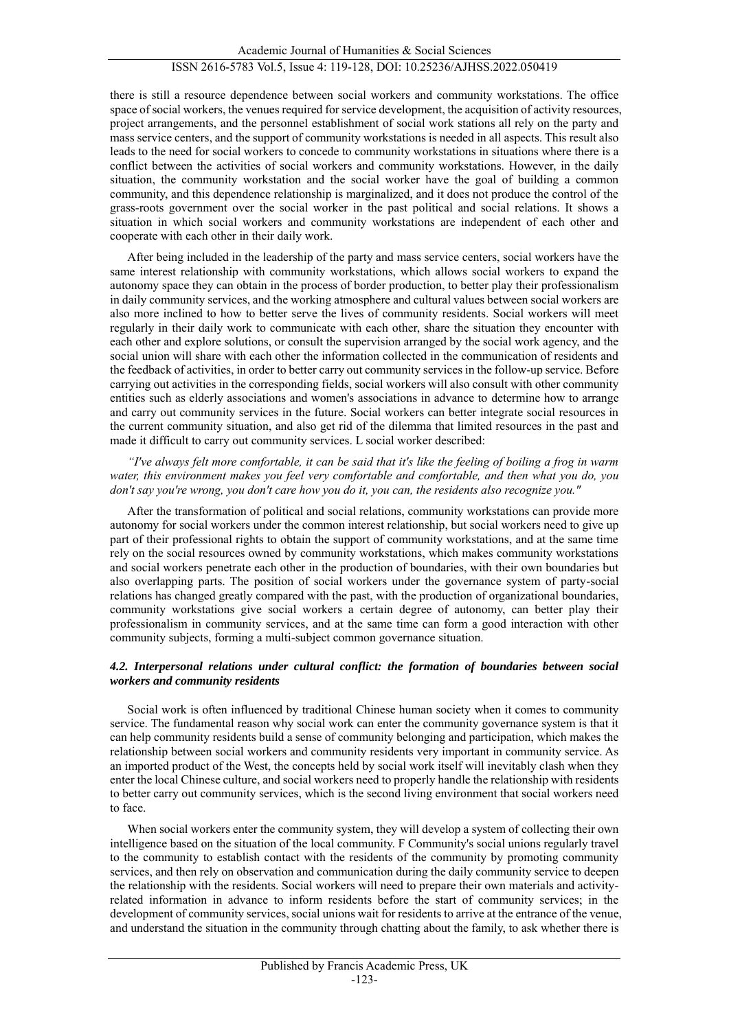there is still a resource dependence between social workers and community workstations. The office space of social workers, the venues required for service development, the acquisition of activity resources, project arrangements, and the personnel establishment of social work stations all rely on the party and mass service centers, and the support of community workstations is needed in all aspects. This result also leads to the need for social workers to concede to community workstations in situations where there is a conflict between the activities of social workers and community workstations. However, in the daily situation, the community workstation and the social worker have the goal of building a common community, and this dependence relationship is marginalized, and it does not produce the control of the grass-roots government over the social worker in the past political and social relations. It shows a situation in which social workers and community workstations are independent of each other and cooperate with each other in their daily work.

After being included in the leadership of the party and mass service centers, social workers have the same interest relationship with community workstations, which allows social workers to expand the autonomy space they can obtain in the process of border production, to better play their professionalism in daily community services, and the working atmosphere and cultural values between social workers are also more inclined to how to better serve the lives of community residents. Social workers will meet regularly in their daily work to communicate with each other, share the situation they encounter with each other and explore solutions, or consult the supervision arranged by the social work agency, and the social union will share with each other the information collected in the communication of residents and the feedback of activities, in order to better carry out community services in the follow-up service. Before carrying out activities in the corresponding fields, social workers will also consult with other community entities such as elderly associations and women's associations in advance to determine how to arrange and carry out community services in the future. Social workers can better integrate social resources in the current community situation, and also get rid of the dilemma that limited resources in the past and made it difficult to carry out community services. L social worker described:

*"I've always felt more comfortable, it can be said that it's like the feeling of boiling a frog in warm water, this environment makes you feel very comfortable and comfortable, and then what you do, you don't say you're wrong, you don't care how you do it, you can, the residents also recognize you."* 

After the transformation of political and social relations, community workstations can provide more autonomy for social workers under the common interest relationship, but social workers need to give up part of their professional rights to obtain the support of community workstations, and at the same time rely on the social resources owned by community workstations, which makes community workstations and social workers penetrate each other in the production of boundaries, with their own boundaries but also overlapping parts. The position of social workers under the governance system of party-social relations has changed greatly compared with the past, with the production of organizational boundaries, community workstations give social workers a certain degree of autonomy, can better play their professionalism in community services, and at the same time can form a good interaction with other community subjects, forming a multi-subject common governance situation.

## *4.2. Interpersonal relations under cultural conflict: the formation of boundaries between social workers and community residents*

Social work is often influenced by traditional Chinese human society when it comes to community service. The fundamental reason why social work can enter the community governance system is that it can help community residents build a sense of community belonging and participation, which makes the relationship between social workers and community residents very important in community service. As an imported product of the West, the concepts held by social work itself will inevitably clash when they enter the local Chinese culture, and social workers need to properly handle the relationship with residents to better carry out community services, which is the second living environment that social workers need to face.

When social workers enter the community system, they will develop a system of collecting their own intelligence based on the situation of the local community. F Community's social unions regularly travel to the community to establish contact with the residents of the community by promoting community services, and then rely on observation and communication during the daily community service to deepen the relationship with the residents. Social workers will need to prepare their own materials and activityrelated information in advance to inform residents before the start of community services; in the development of community services, social unions wait for residents to arrive at the entrance of the venue, and understand the situation in the community through chatting about the family, to ask whether there is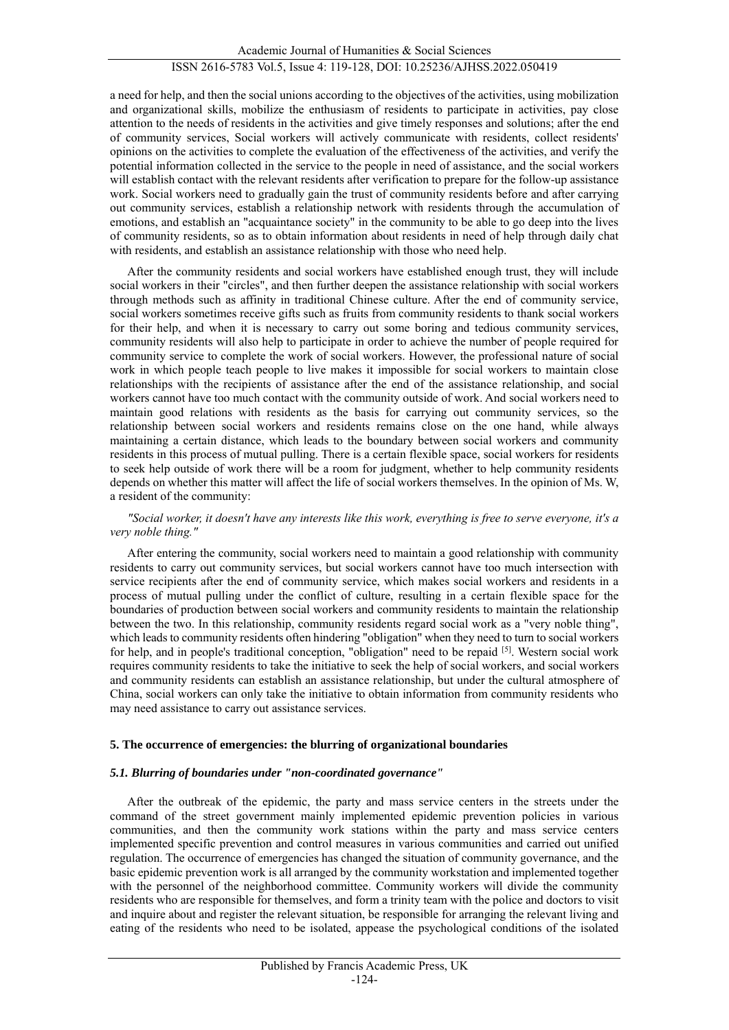a need for help, and then the social unions according to the objectives of the activities, using mobilization and organizational skills, mobilize the enthusiasm of residents to participate in activities, pay close attention to the needs of residents in the activities and give timely responses and solutions; after the end of community services, Social workers will actively communicate with residents, collect residents' opinions on the activities to complete the evaluation of the effectiveness of the activities, and verify the potential information collected in the service to the people in need of assistance, and the social workers will establish contact with the relevant residents after verification to prepare for the follow-up assistance work. Social workers need to gradually gain the trust of community residents before and after carrying out community services, establish a relationship network with residents through the accumulation of emotions, and establish an "acquaintance society" in the community to be able to go deep into the lives of community residents, so as to obtain information about residents in need of help through daily chat with residents, and establish an assistance relationship with those who need help.

After the community residents and social workers have established enough trust, they will include social workers in their "circles", and then further deepen the assistance relationship with social workers through methods such as affinity in traditional Chinese culture. After the end of community service, social workers sometimes receive gifts such as fruits from community residents to thank social workers for their help, and when it is necessary to carry out some boring and tedious community services, community residents will also help to participate in order to achieve the number of people required for community service to complete the work of social workers. However, the professional nature of social work in which people teach people to live makes it impossible for social workers to maintain close relationships with the recipients of assistance after the end of the assistance relationship, and social workers cannot have too much contact with the community outside of work. And social workers need to maintain good relations with residents as the basis for carrying out community services, so the relationship between social workers and residents remains close on the one hand, while always maintaining a certain distance, which leads to the boundary between social workers and community residents in this process of mutual pulling. There is a certain flexible space, social workers for residents to seek help outside of work there will be a room for judgment, whether to help community residents depends on whether this matter will affect the life of social workers themselves. In the opinion of Ms. W, a resident of the community:

#### *"Social worker, it doesn't have any interests like this work, everything is free to serve everyone, it's a very noble thing."*

After entering the community, social workers need to maintain a good relationship with community residents to carry out community services, but social workers cannot have too much intersection with service recipients after the end of community service, which makes social workers and residents in a process of mutual pulling under the conflict of culture, resulting in a certain flexible space for the boundaries of production between social workers and community residents to maintain the relationship between the two. In this relationship, community residents regard social work as a "very noble thing", which leads to community residents often hindering "obligation" when they need to turn to social workers for help, and in people's traditional conception, "obligation" need to be repaid  $[5]$ . Western social work requires community residents to take the initiative to seek the help of social workers, and social workers and community residents can establish an assistance relationship, but under the cultural atmosphere of China, social workers can only take the initiative to obtain information from community residents who may need assistance to carry out assistance services.

#### **5. The occurrence of emergencies: the blurring of organizational boundaries**

#### *5.1. Blurring of boundaries under "non-coordinated governance"*

After the outbreak of the epidemic, the party and mass service centers in the streets under the command of the street government mainly implemented epidemic prevention policies in various communities, and then the community work stations within the party and mass service centers implemented specific prevention and control measures in various communities and carried out unified regulation. The occurrence of emergencies has changed the situation of community governance, and the basic epidemic prevention work is all arranged by the community workstation and implemented together with the personnel of the neighborhood committee. Community workers will divide the community residents who are responsible for themselves, and form a trinity team with the police and doctors to visit and inquire about and register the relevant situation, be responsible for arranging the relevant living and eating of the residents who need to be isolated, appease the psychological conditions of the isolated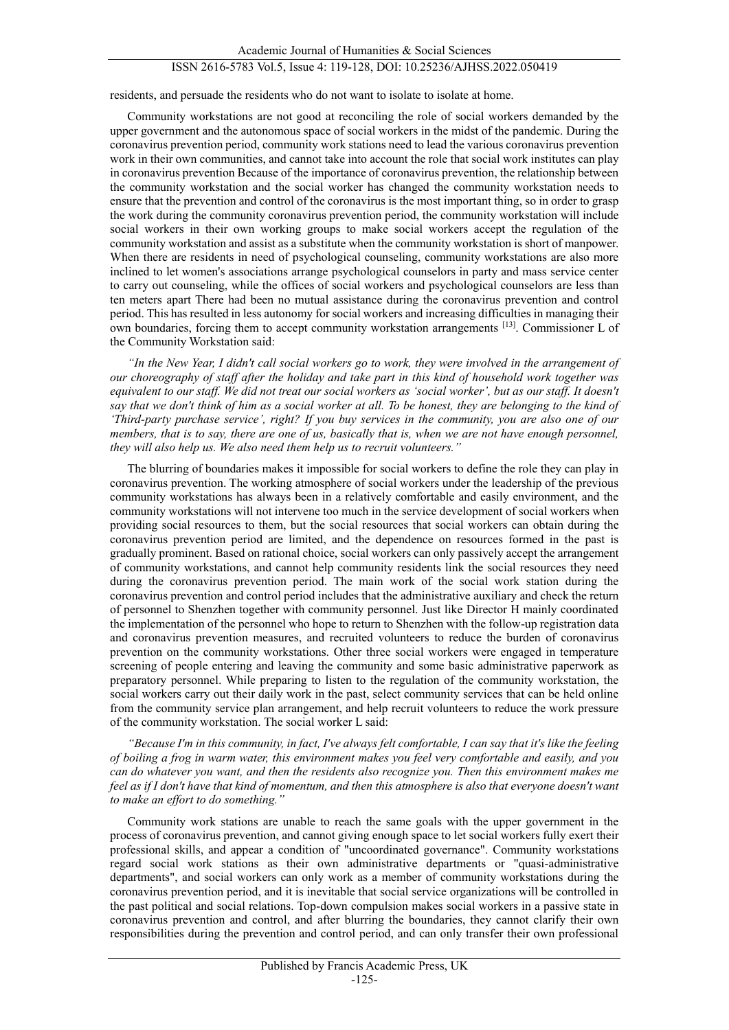## ISSN 2616-5783 Vol.5, Issue 4: 119-128, DOI: 10.25236/AJHSS.2022.050419

residents, and persuade the residents who do not want to isolate to isolate at home.

Community workstations are not good at reconciling the role of social workers demanded by the upper government and the autonomous space of social workers in the midst of the pandemic. During the coronavirus prevention period, community work stations need to lead the various coronavirus prevention work in their own communities, and cannot take into account the role that social work institutes can play in coronavirus prevention Because of the importance of coronavirus prevention, the relationship between the community workstation and the social worker has changed the community workstation needs to ensure that the prevention and control of the coronavirus is the most important thing, so in order to grasp the work during the community coronavirus prevention period, the community workstation will include social workers in their own working groups to make social workers accept the regulation of the community workstation and assist as a substitute when the community workstation is short of manpower. When there are residents in need of psychological counseling, community workstations are also more inclined to let women's associations arrange psychological counselors in party and mass service center to carry out counseling, while the offices of social workers and psychological counselors are less than ten meters apart There had been no mutual assistance during the coronavirus prevention and control period. This has resulted in less autonomy for social workers and increasing difficulties in managing their own boundaries, forcing them to accept community workstation arrangements [13]. Commissioner L of the Community Workstation said:

*"In the New Year, I didn't call social workers go to work, they were involved in the arrangement of our choreography of staff after the holiday and take part in this kind of household work together was equivalent to our staff. We did not treat our social workers as 'social worker', but as our staff. It doesn't say that we don't think of him as a social worker at all. To be honest, they are belonging to the kind of 'Third-party purchase service', right? If you buy services in the community, you are also one of our members, that is to say, there are one of us, basically that is, when we are not have enough personnel, they will also help us. We also need them help us to recruit volunteers."*

The blurring of boundaries makes it impossible for social workers to define the role they can play in coronavirus prevention. The working atmosphere of social workers under the leadership of the previous community workstations has always been in a relatively comfortable and easily environment, and the community workstations will not intervene too much in the service development of social workers when providing social resources to them, but the social resources that social workers can obtain during the coronavirus prevention period are limited, and the dependence on resources formed in the past is gradually prominent. Based on rational choice, social workers can only passively accept the arrangement of community workstations, and cannot help community residents link the social resources they need during the coronavirus prevention period. The main work of the social work station during the coronavirus prevention and control period includes that the administrative auxiliary and check the return of personnel to Shenzhen together with community personnel. Just like Director H mainly coordinated the implementation of the personnel who hope to return to Shenzhen with the follow-up registration data and coronavirus prevention measures, and recruited volunteers to reduce the burden of coronavirus prevention on the community workstations. Other three social workers were engaged in temperature screening of people entering and leaving the community and some basic administrative paperwork as preparatory personnel. While preparing to listen to the regulation of the community workstation, the social workers carry out their daily work in the past, select community services that can be held online from the community service plan arrangement, and help recruit volunteers to reduce the work pressure of the community workstation. The social worker L said:

*"Because I'm in this community, in fact, I've always felt comfortable, I can say that it's like the feeling of boiling a frog in warm water, this environment makes you feel very comfortable and easily, and you can do whatever you want, and then the residents also recognize you. Then this environment makes me feel as if I don't have that kind of momentum, and then this atmosphere is also that everyone doesn't want to make an effort to do something."*

Community work stations are unable to reach the same goals with the upper government in the process of coronavirus prevention, and cannot giving enough space to let social workers fully exert their professional skills, and appear a condition of "uncoordinated governance". Community workstations regard social work stations as their own administrative departments or "quasi-administrative departments", and social workers can only work as a member of community workstations during the coronavirus prevention period, and it is inevitable that social service organizations will be controlled in the past political and social relations. Top-down compulsion makes social workers in a passive state in coronavirus prevention and control, and after blurring the boundaries, they cannot clarify their own responsibilities during the prevention and control period, and can only transfer their own professional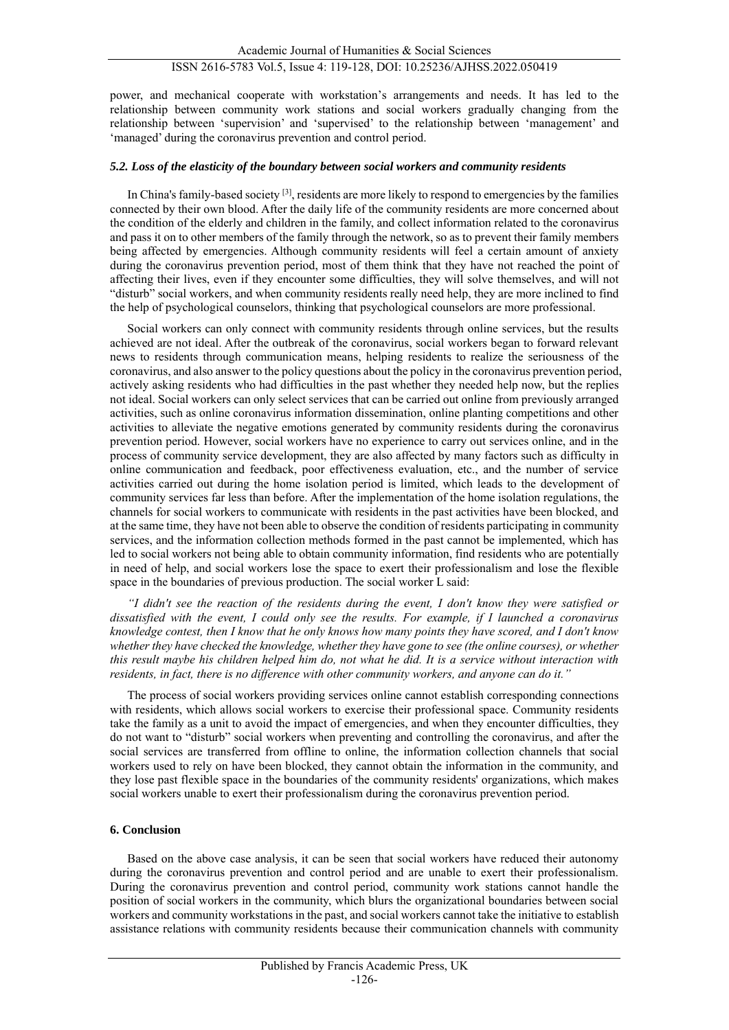# ISSN 2616-5783 Vol.5, Issue 4: 119-128, DOI: 10.25236/AJHSS.2022.050419

power, and mechanical cooperate with workstation's arrangements and needs. It has led to the relationship between community work stations and social workers gradually changing from the relationship between 'supervision' and 'supervised' to the relationship between 'management' and 'managed' during the coronavirus prevention and control period.

#### *5.2. Loss of the elasticity of the boundary between social workers and community residents*

In China's family-based society <sup>[3]</sup>, residents are more likely to respond to emergencies by the families connected by their own blood. After the daily life of the community residents are more concerned about the condition of the elderly and children in the family, and collect information related to the coronavirus and pass it on to other members of the family through the network, so as to prevent their family members being affected by emergencies. Although community residents will feel a certain amount of anxiety during the coronavirus prevention period, most of them think that they have not reached the point of affecting their lives, even if they encounter some difficulties, they will solve themselves, and will not "disturb" social workers, and when community residents really need help, they are more inclined to find the help of psychological counselors, thinking that psychological counselors are more professional.

Social workers can only connect with community residents through online services, but the results achieved are not ideal. After the outbreak of the coronavirus, social workers began to forward relevant news to residents through communication means, helping residents to realize the seriousness of the coronavirus, and also answer to the policy questions about the policy in the coronavirus prevention period, actively asking residents who had difficulties in the past whether they needed help now, but the replies not ideal. Social workers can only select services that can be carried out online from previously arranged activities, such as online coronavirus information dissemination, online planting competitions and other activities to alleviate the negative emotions generated by community residents during the coronavirus prevention period. However, social workers have no experience to carry out services online, and in the process of community service development, they are also affected by many factors such as difficulty in online communication and feedback, poor effectiveness evaluation, etc., and the number of service activities carried out during the home isolation period is limited, which leads to the development of community services far less than before. After the implementation of the home isolation regulations, the channels for social workers to communicate with residents in the past activities have been blocked, and at the same time, they have not been able to observe the condition of residents participating in community services, and the information collection methods formed in the past cannot be implemented, which has led to social workers not being able to obtain community information, find residents who are potentially in need of help, and social workers lose the space to exert their professionalism and lose the flexible space in the boundaries of previous production. The social worker L said:

*"I didn't see the reaction of the residents during the event, I don't know they were satisfied or dissatisfied with the event, I could only see the results. For example, if I launched a coronavirus knowledge contest, then I know that he only knows how many points they have scored, and I don't know whether they have checked the knowledge, whether they have gone to see (the online courses), or whether this result maybe his children helped him do, not what he did. It is a service without interaction with residents, in fact, there is no difference with other community workers, and anyone can do it."*

The process of social workers providing services online cannot establish corresponding connections with residents, which allows social workers to exercise their professional space. Community residents take the family as a unit to avoid the impact of emergencies, and when they encounter difficulties, they do not want to "disturb" social workers when preventing and controlling the coronavirus, and after the social services are transferred from offline to online, the information collection channels that social workers used to rely on have been blocked, they cannot obtain the information in the community, and they lose past flexible space in the boundaries of the community residents' organizations, which makes social workers unable to exert their professionalism during the coronavirus prevention period.

#### **6. Conclusion**

Based on the above case analysis, it can be seen that social workers have reduced their autonomy during the coronavirus prevention and control period and are unable to exert their professionalism. During the coronavirus prevention and control period, community work stations cannot handle the position of social workers in the community, which blurs the organizational boundaries between social workers and community workstations in the past, and social workers cannot take the initiative to establish assistance relations with community residents because their communication channels with community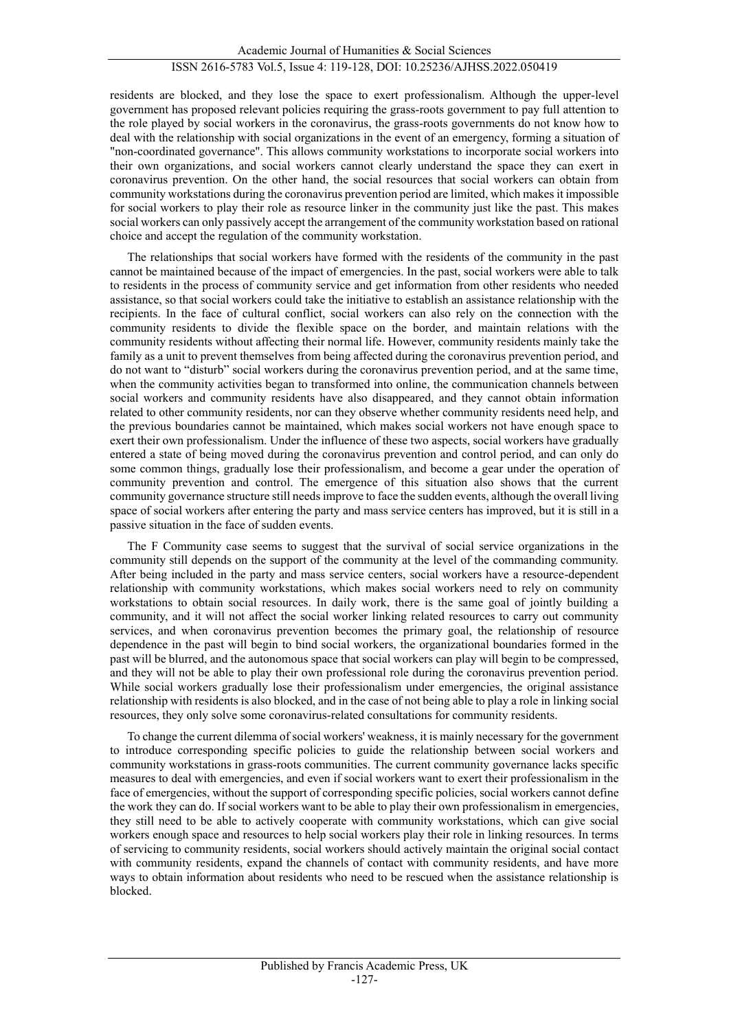residents are blocked, and they lose the space to exert professionalism. Although the upper-level government has proposed relevant policies requiring the grass-roots government to pay full attention to the role played by social workers in the coronavirus, the grass-roots governments do not know how to deal with the relationship with social organizations in the event of an emergency, forming a situation of "non-coordinated governance". This allows community workstations to incorporate social workers into their own organizations, and social workers cannot clearly understand the space they can exert in coronavirus prevention. On the other hand, the social resources that social workers can obtain from community workstations during the coronavirus prevention period are limited, which makes it impossible for social workers to play their role as resource linker in the community just like the past. This makes social workers can only passively accept the arrangement of the community workstation based on rational choice and accept the regulation of the community workstation.

The relationships that social workers have formed with the residents of the community in the past cannot be maintained because of the impact of emergencies. In the past, social workers were able to talk to residents in the process of community service and get information from other residents who needed assistance, so that social workers could take the initiative to establish an assistance relationship with the recipients. In the face of cultural conflict, social workers can also rely on the connection with the community residents to divide the flexible space on the border, and maintain relations with the community residents without affecting their normal life. However, community residents mainly take the family as a unit to prevent themselves from being affected during the coronavirus prevention period, and do not want to "disturb" social workers during the coronavirus prevention period, and at the same time, when the community activities began to transformed into online, the communication channels between social workers and community residents have also disappeared, and they cannot obtain information related to other community residents, nor can they observe whether community residents need help, and the previous boundaries cannot be maintained, which makes social workers not have enough space to exert their own professionalism. Under the influence of these two aspects, social workers have gradually entered a state of being moved during the coronavirus prevention and control period, and can only do some common things, gradually lose their professionalism, and become a gear under the operation of community prevention and control. The emergence of this situation also shows that the current community governance structure still needs improve to face the sudden events, although the overall living space of social workers after entering the party and mass service centers has improved, but it is still in a passive situation in the face of sudden events.

The F Community case seems to suggest that the survival of social service organizations in the community still depends on the support of the community at the level of the commanding community. After being included in the party and mass service centers, social workers have a resource-dependent relationship with community workstations, which makes social workers need to rely on community workstations to obtain social resources. In daily work, there is the same goal of jointly building a community, and it will not affect the social worker linking related resources to carry out community services, and when coronavirus prevention becomes the primary goal, the relationship of resource dependence in the past will begin to bind social workers, the organizational boundaries formed in the past will be blurred, and the autonomous space that social workers can play will begin to be compressed, and they will not be able to play their own professional role during the coronavirus prevention period. While social workers gradually lose their professionalism under emergencies, the original assistance relationship with residents is also blocked, and in the case of not being able to play a role in linking social resources, they only solve some coronavirus-related consultations for community residents.

To change the current dilemma of social workers' weakness, it is mainly necessary for the government to introduce corresponding specific policies to guide the relationship between social workers and community workstations in grass-roots communities. The current community governance lacks specific measures to deal with emergencies, and even if social workers want to exert their professionalism in the face of emergencies, without the support of corresponding specific policies, social workers cannot define the work they can do. If social workers want to be able to play their own professionalism in emergencies, they still need to be able to actively cooperate with community workstations, which can give social workers enough space and resources to help social workers play their role in linking resources. In terms of servicing to community residents, social workers should actively maintain the original social contact with community residents, expand the channels of contact with community residents, and have more ways to obtain information about residents who need to be rescued when the assistance relationship is blocked.